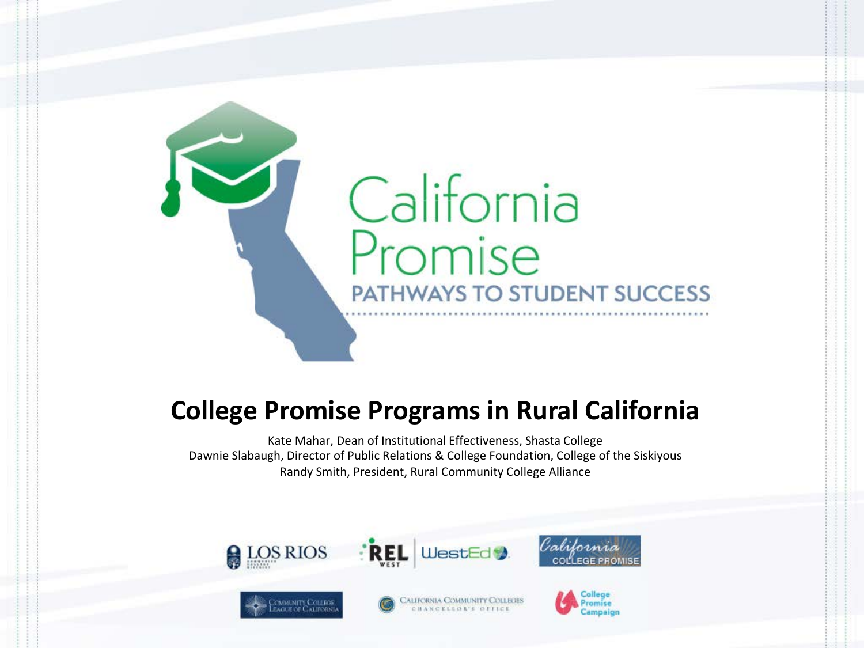

#### **College Promise Programs in Rural California**

Kate Mahar, Dean of Institutional Effectiveness, Shasta College Dawnie Slabaugh, Director of Public Relations & College Foundation, College of the Siskiyous Randy Smith, President, Rural Community College Alliance









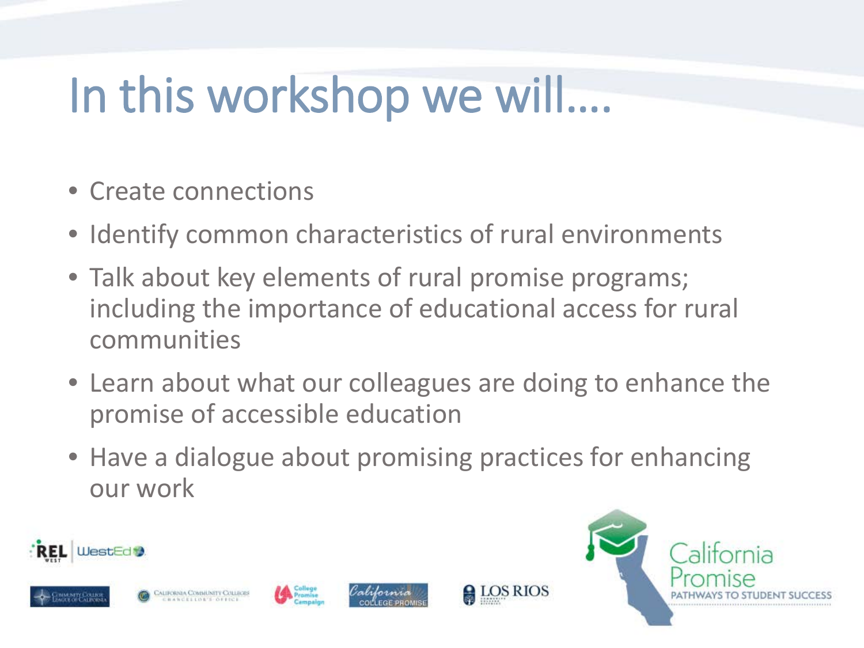### In this workshop we will….

- Create connections
- Identify common characteristics of rural environments
- Talk about key elements of rural promise programs; including the importance of educational access for rural communities
- Learn about what our colleagues are doing to enhance the promise of accessible education
- Have a dialogue about promising practices for enhancing our work

**A**LOS RIOS









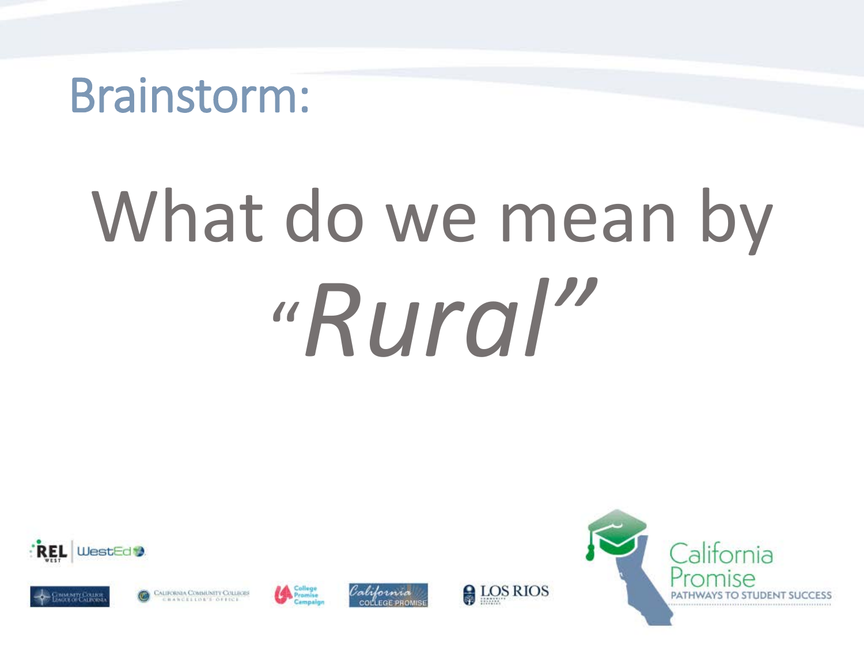#### Brainstorm:

# What do we mean by "*Rural"*











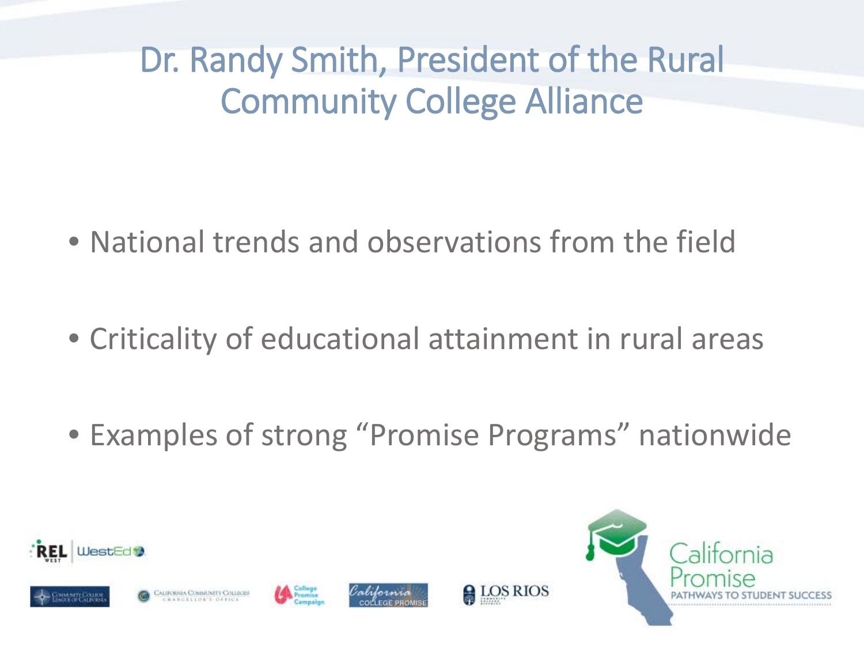Dr. Randy Smith, President of the Rural Community College Alliance

- National trends and observations from the field
- Criticality of educational attainment in rural areas
- Examples of strong "Promise Programs" nationwide

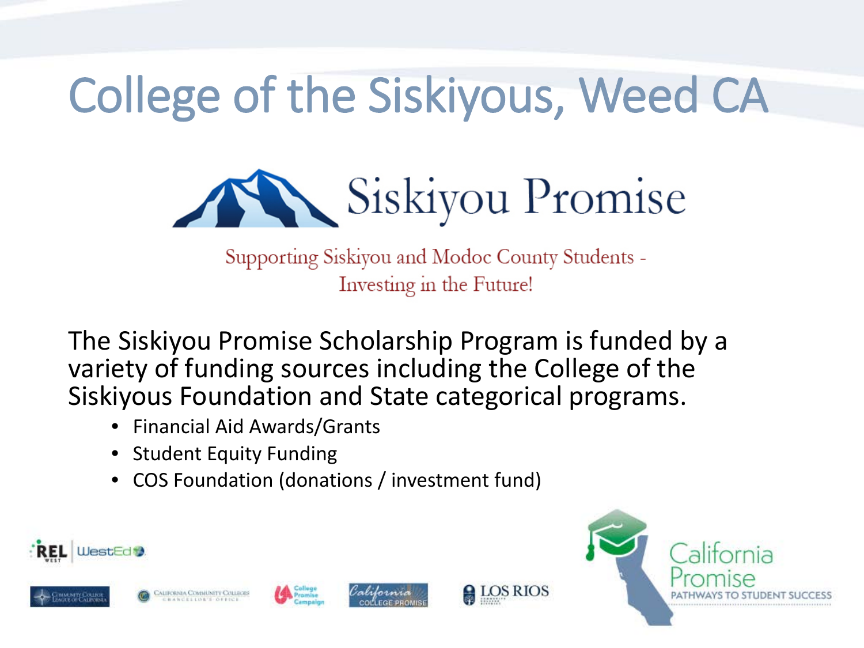# College of the Siskiyous, Weed CA



Supporting Siskiyou and Modoc County Students -Investing in the Future!

The Siskiyou Promise Scholarship Program is funded by a variety of funding sources including the College of the Siskiyous Foundation and State categorical programs.

- Financial Aid Awards/Grants
- Student Equity Funding
- COS Foundation (donations / investment fund)











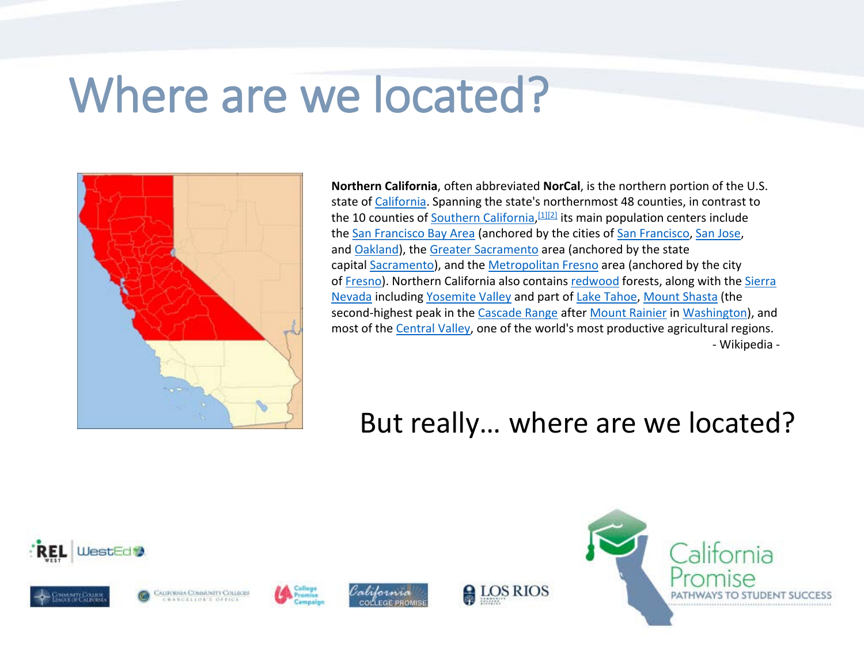#### Where are we located?



**Northern California**, often abbreviated **NorCal**, is the northern portion of the U.S. state of [California](https://en.wikipedia.org/wiki/California). Spanning the state's northernmost 48 counties, in contrast to the 10 counties of [Southern California,](https://en.wikipedia.org/wiki/Southern_California) <sup>[\[1\]\[2\]](https://en.wikipedia.org/wiki/Northern_California#cite_note-1)</sup> its main population centers include the [San Francisco Bay Area](https://en.wikipedia.org/wiki/San_Francisco_Bay_Area) (anchored by the cities of [San Francisco,](https://en.wikipedia.org/wiki/San_Francisco) [San Jose](https://en.wikipedia.org/wiki/San_Jose,_California), and [Oakland](https://en.wikipedia.org/wiki/Oakland,_California)), the [Greater Sacramento](https://en.wikipedia.org/wiki/Greater_Sacramento) area (anchored by the state capital [Sacramento\)](https://en.wikipedia.org/wiki/Sacramento,_California), and the [Metropolitan Fresno](https://en.wikipedia.org/wiki/Metropolitan_Fresno) area (anchored by the city of [Fresno\). Northern California also contains](https://en.wikipedia.org/wiki/Sierra_Nevada_(U.S.)) [redwood](https://en.wikipedia.org/wiki/Sequoia_sempervirens) forests, along with the Sierra Nevada including [Yosemite Valley](https://en.wikipedia.org/wiki/Yosemite_Valley) and part of [Lake Tahoe,](https://en.wikipedia.org/wiki/Lake_Tahoe) [Mount Shasta](https://en.wikipedia.org/wiki/Mount_Shasta) (the second-highest peak in the [Cascade Range](https://en.wikipedia.org/wiki/Cascade_Range) after [Mount Rainier](https://en.wikipedia.org/wiki/Mount_Rainier) in [Washington\)](https://en.wikipedia.org/wiki/Washington_(state)), and most of the [Central Valley,](https://en.wikipedia.org/wiki/Central_Valley_(California)) one of the world's most productive agricultural regions. - Wikipedia -

#### But really… where are we located?











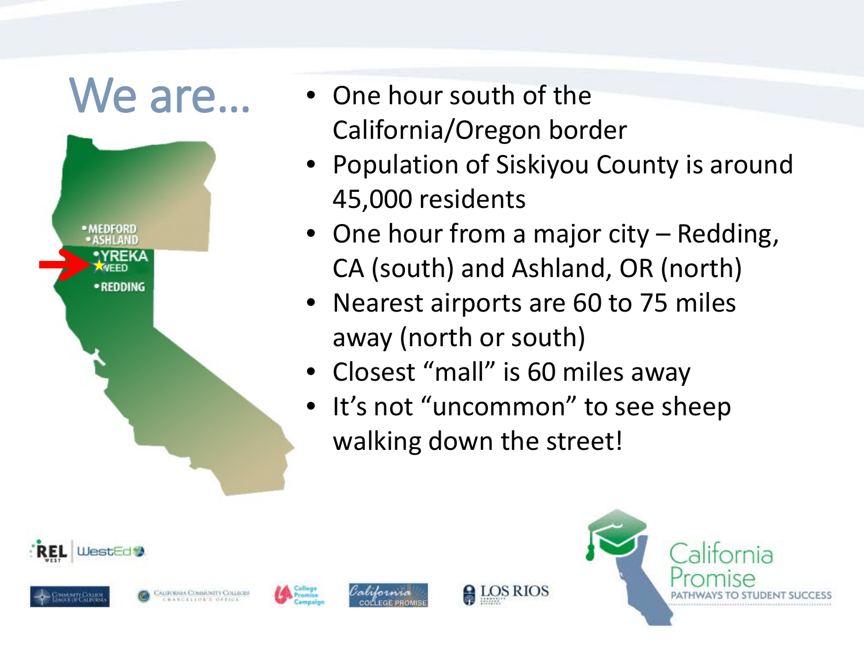

- One hour south of the California/Oregon border
- Population of Siskiyou County is around 45,000 residents
- One hour from a major city Redding, CA (south) and Ashland, OR (north)
- Nearest airports are 60 to 75 miles away (north or south)
- Closest "mall" is 60 miles away
- It's not "uncommon" to see sheep walking down the street!









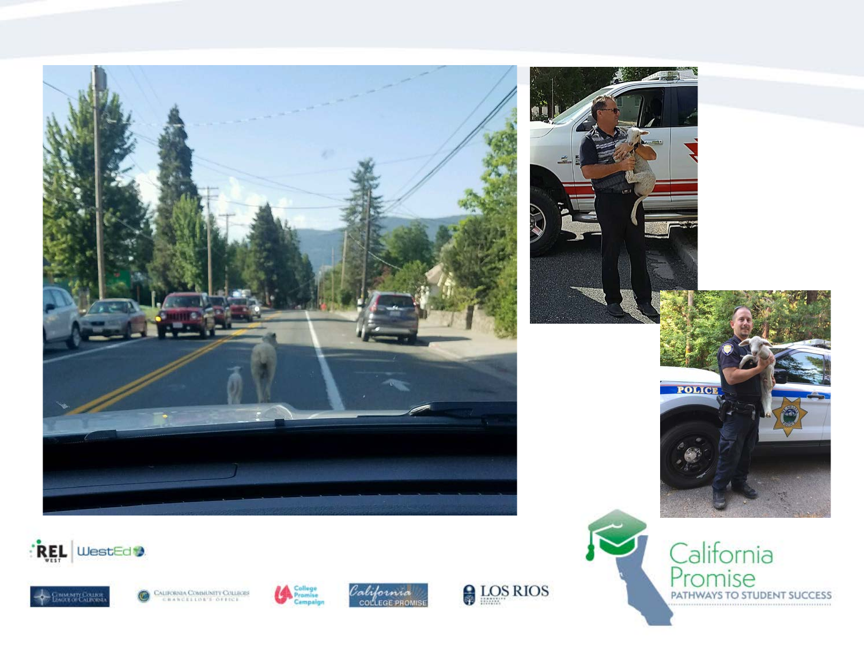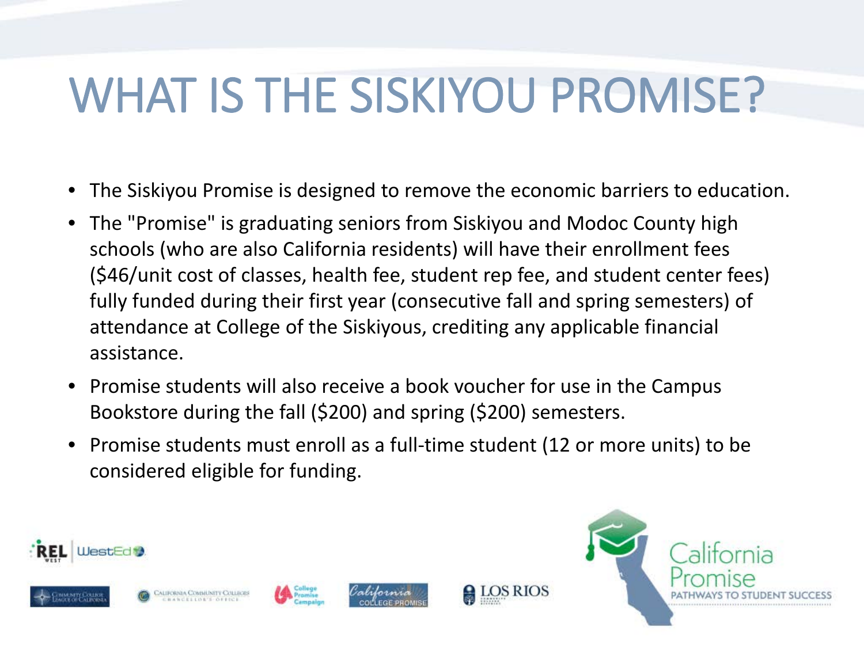#### WHAT IS THE SISKIYOU PROMISE?

- The Siskiyou Promise is designed to remove the economic barriers to education.
- The "Promise" is graduating seniors from Siskiyou and Modoc County high schools (who are also California residents) will have their enrollment fees (\$46/unit cost of classes, health fee, student rep fee, and student center fees) fully funded during their first year (consecutive fall and spring semesters) of attendance at College of the Siskiyous, crediting any applicable financial assistance.
- Promise students will also receive a book voucher for use in the Campus Bookstore during the fall (\$200) and spring (\$200) semesters.
- Promise students must enroll as a full-time student (12 or more units) to be considered eligible for funding.

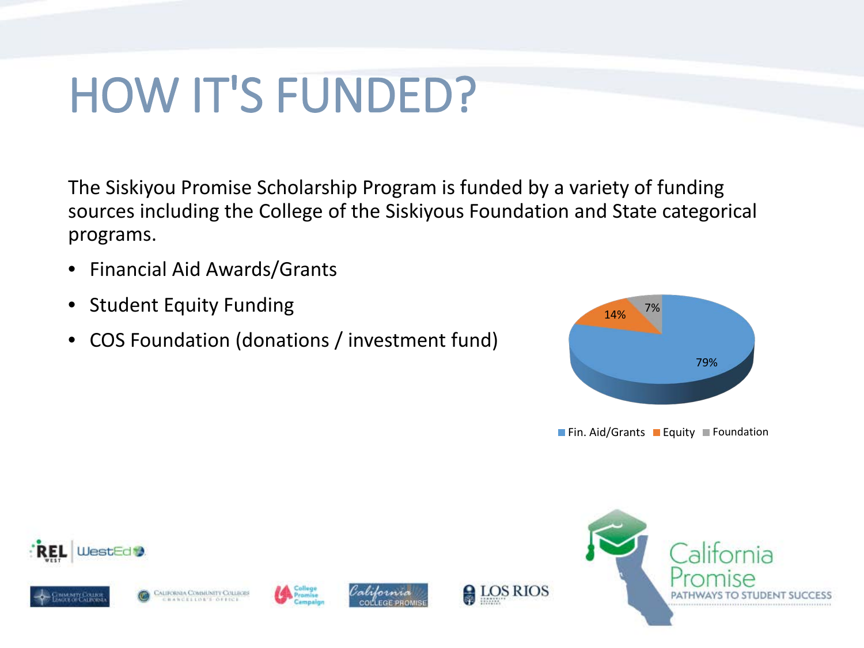#### HOW IT'S FUNDED?

The Siskiyou Promise Scholarship Program is funded by a variety of funding sources including the College of the Siskiyous Foundation and State categorical programs.

- Financial Aid Awards/Grants
- **Student Equity Funding**
- COS Foundation (donations / investment fund)



**Fin. Aid/Grants Fundation** 











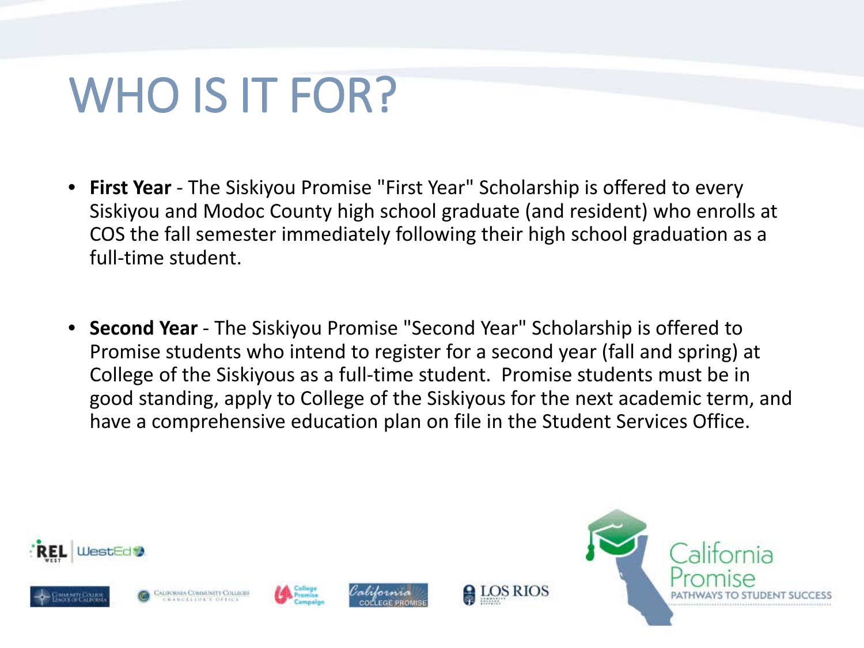#### WHO IS IT FOR?

- **First Year** The Siskiyou Promise "First Year" Scholarship is offered to every Siskiyou and Modoc County high school graduate (and resident) who enrolls at COS the fall semester immediately following their high school graduation as a full-time student.
- **Second Year** The Siskiyou Promise "Second Year" Scholarship is offered to Promise students who intend to register for a second year (fall and spring) at College of the Siskiyous as a full-time student. Promise students must be in good standing, apply to College of the Siskiyous for the next academic term, and have a comprehensive education plan on file in the Student Services Office.

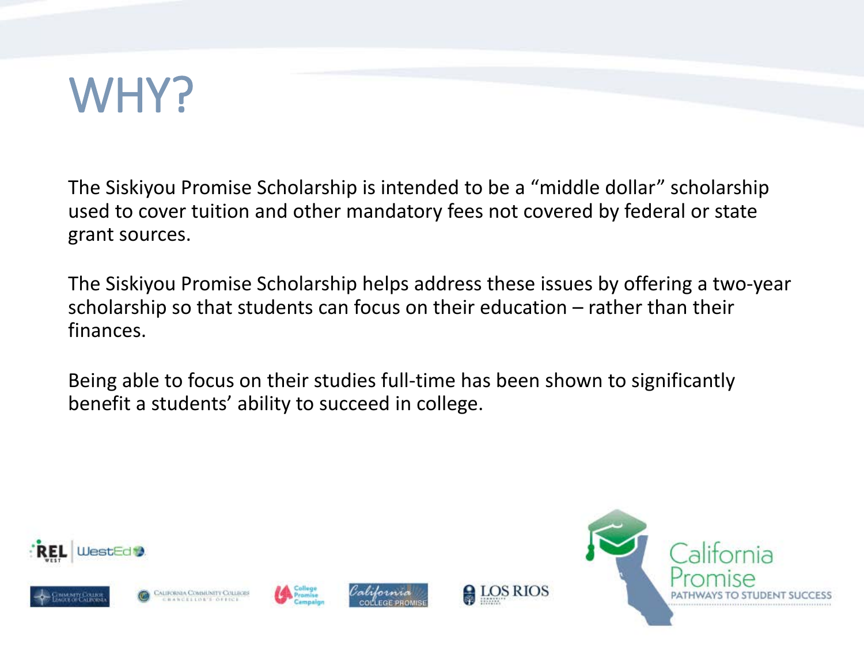

The Siskiyou Promise Scholarship is intended to be a "middle dollar" scholarship used to cover tuition and other mandatory fees not covered by federal or state grant sources.

The Siskiyou Promise Scholarship helps address these issues by offering a two-year scholarship so that students can focus on their education – rather than their finances.

Being able to focus on their studies full-time has been shown to significantly benefit a students' ability to succeed in college.











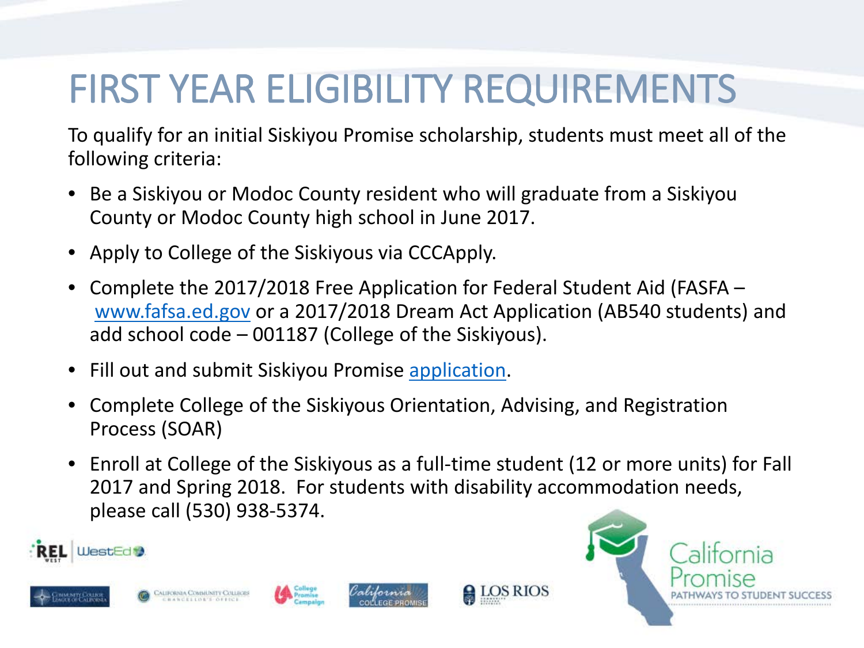#### FIRST YEAR ELIGIBILITY REQUIREMENTS

To qualify for an initial Siskiyou Promise scholarship, students must meet all of the following criteria:

- Be a Siskiyou or Modoc County resident who will graduate from a Siskiyou County or Modoc County high school in June 2017.
- Apply to College of the Siskiyous via CCCApply.
- Complete the 2017/2018 Free Application for Federal Student Aid (FASFA [www.fafsa.ed.gov](http://www.fafsa.ed.gov/) or a 2017/2018 Dream Act Application (AB540 students) and add school code – 001187 (College of the Siskiyous).
- Fill out and submit Siskiyou Promise [application.](http://www.siskiyous.edu/promise/documents/application.pdf)
- Complete College of the Siskiyous Orientation, Advising, and Registration Process (SOAR)
- Enroll at College of the Siskiyous as a full-time student (12 or more units) for Fall 2017 and Spring 2018. For students with disability accommodation needs, please call (530) 938-5374.











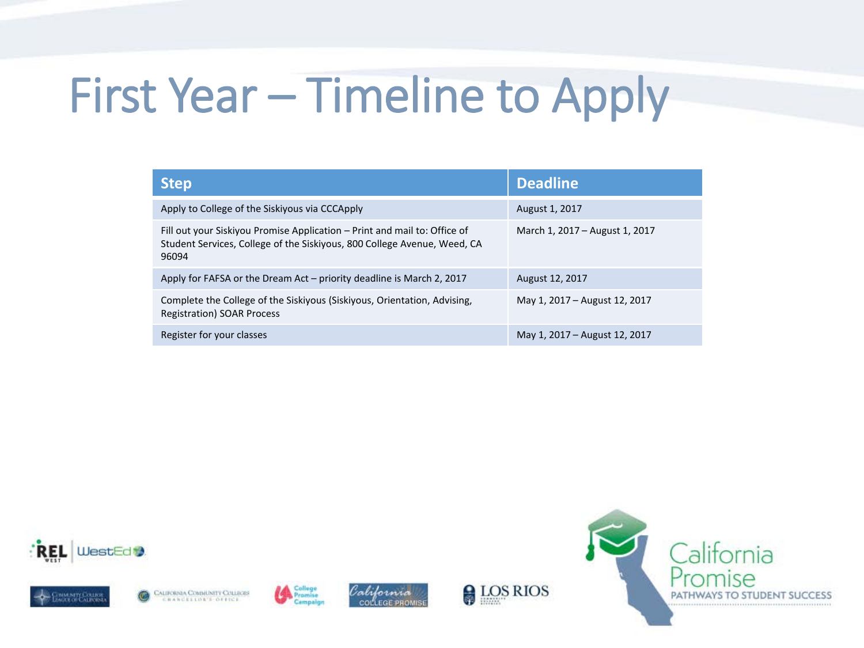# First Year – Timeline to Apply

| <b>Step</b>                                                                                                                                                    | <b>Deadline</b>                |
|----------------------------------------------------------------------------------------------------------------------------------------------------------------|--------------------------------|
| Apply to College of the Siskiyous via CCCApply                                                                                                                 | August 1, 2017                 |
| Fill out your Siskiyou Promise Application - Print and mail to: Office of<br>Student Services, College of the Siskiyous, 800 College Avenue, Weed, CA<br>96094 | March 1, 2017 - August 1, 2017 |
| Apply for FAFSA or the Dream Act $-$ priority deadline is March 2, 2017                                                                                        | August 12, 2017                |
| Complete the College of the Siskiyous (Siskiyous, Orientation, Advising,<br><b>Registration) SOAR Process</b>                                                  | May 1, 2017 - August 12, 2017  |
| Register for your classes                                                                                                                                      | May 1, 2017 – August 12, 2017  |









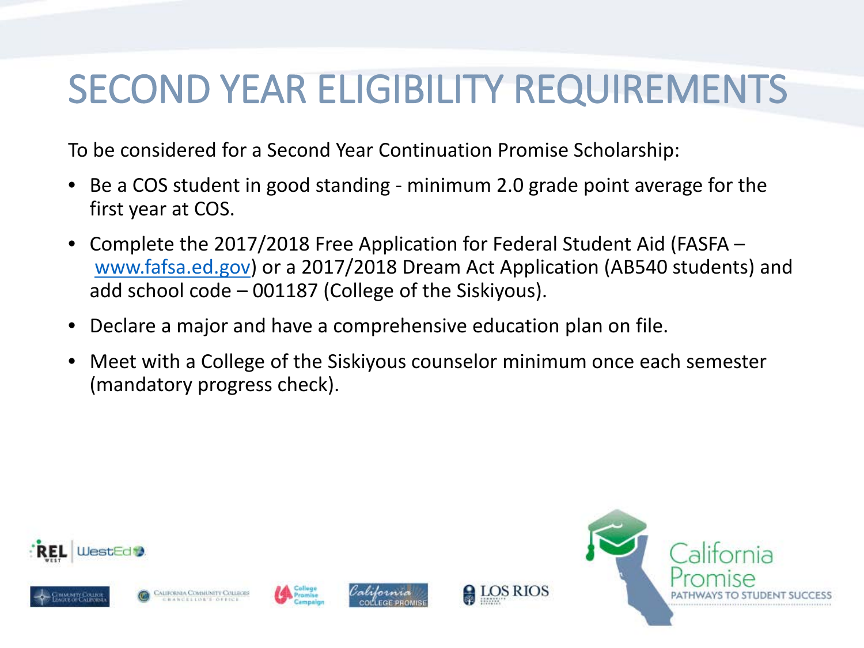#### SECOND YEAR ELIGIBILITY REQUIREMENTS

To be considered for a Second Year Continuation Promise Scholarship:

- Be a COS student in good standing minimum 2.0 grade point average for the first year at COS.
- Complete the 2017/2018 Free Application for Federal Student Aid (FASFA [www.fafsa.ed.gov\)](http://www.fafsa.ed.gov/) or a 2017/2018 Dream Act Application (AB540 students) and add school code – 001187 (College of the Siskiyous).
- Declare a major and have a comprehensive education plan on file.
- Meet with a College of the Siskiyous counselor minimum once each semester (mandatory progress check).

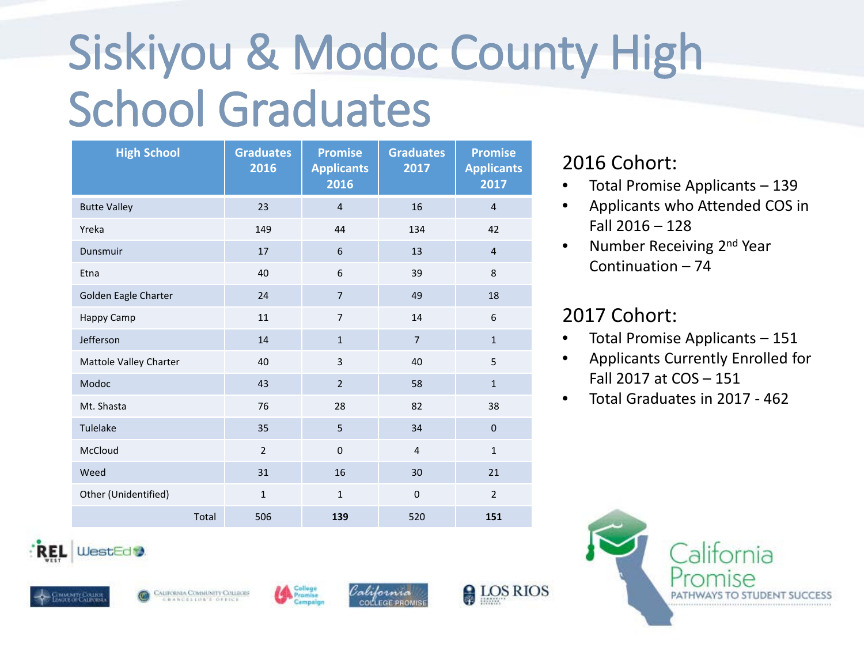# Siskiyou & Modoc County High School Graduates

| <b>High School</b>     | <b>Graduates</b><br>2016 | <b>Promise</b><br><b>Applicants</b><br>2016 | <b>Graduates</b><br>2017 | <b>Promise</b><br><b>Applicants</b><br>2017 |
|------------------------|--------------------------|---------------------------------------------|--------------------------|---------------------------------------------|
| <b>Butte Valley</b>    | 23                       | $\overline{4}$                              | 16                       | $\overline{4}$                              |
| Yreka                  | 149                      | 44                                          | 134                      | 42                                          |
| Dunsmuir               | 17                       | 6                                           | 13                       | $\overline{4}$                              |
| Etna                   | 40                       | 6                                           | 39                       | 8                                           |
| Golden Eagle Charter   | 24                       | $\overline{7}$                              | 49                       | 18                                          |
| Happy Camp             | 11                       | $\overline{7}$                              | 14                       | 6                                           |
| Jefferson              | 14                       | $\mathbf{1}$                                | $\overline{7}$           | $\mathbf{1}$                                |
| Mattole Valley Charter | 40                       | $\overline{\mathbf{3}}$                     | 40                       | 5                                           |
| Modoc                  | 43                       | $\overline{2}$                              | 58                       | $\mathbf{1}$                                |
| Mt. Shasta             | 76                       | 28                                          | 82                       | 38                                          |
| Tulelake               | 35                       | 5                                           | 34                       | $\overline{0}$                              |
| McCloud                | $\overline{2}$           | $\mathbf 0$                                 | 4                        | $\mathbf{1}$                                |
| Weed                   | 31                       | 16                                          | 30                       | 21                                          |
| Other (Unidentified)   | $\mathbf{1}$             | $\mathbf{1}$                                | $\mathbf{0}$             | $\overline{2}$                              |
| Total                  | 506                      | 139                                         | 520                      | 151                                         |

#### 2016 Cohort:

- Total Promise Applicants 139
- Applicants who Attended COS in Fall 2016 – 128
- Number Receiving 2<sup>nd</sup> Year Continuation – 74

#### 2017 Cohort:

- Total Promise Applicants 151
- Applicants Currently Enrolled for Fall 2017 at COS – 151
- Total Graduates in 2017 462









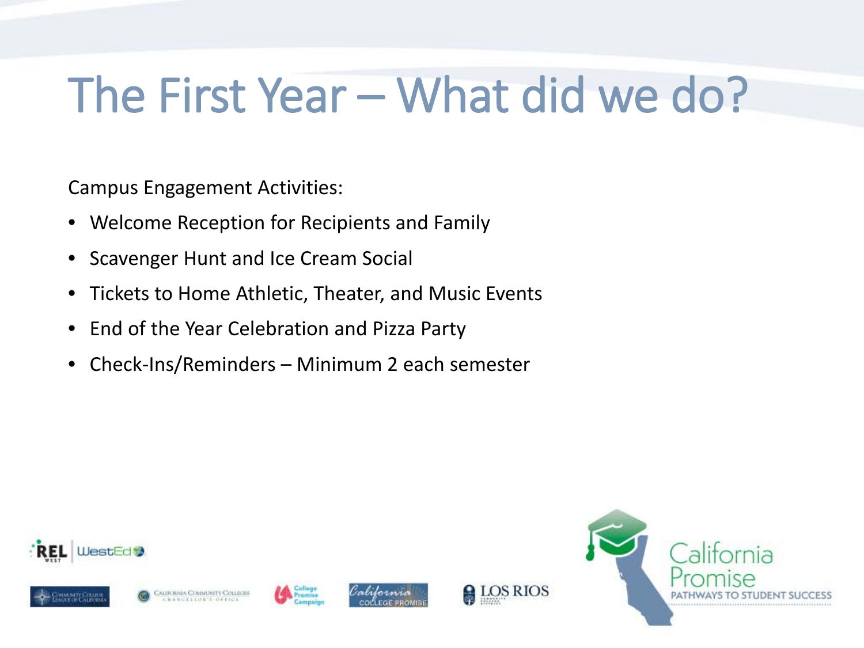#### The First Year – What did we do?

Campus Engagement Activities:

- Welcome Reception for Recipients and Family
- Scavenger Hunt and Ice Cream Social
- Tickets to Home Athletic, Theater, and Music Events
- End of the Year Celebration and Pizza Party
- Check-Ins/Reminders Minimum 2 each semester



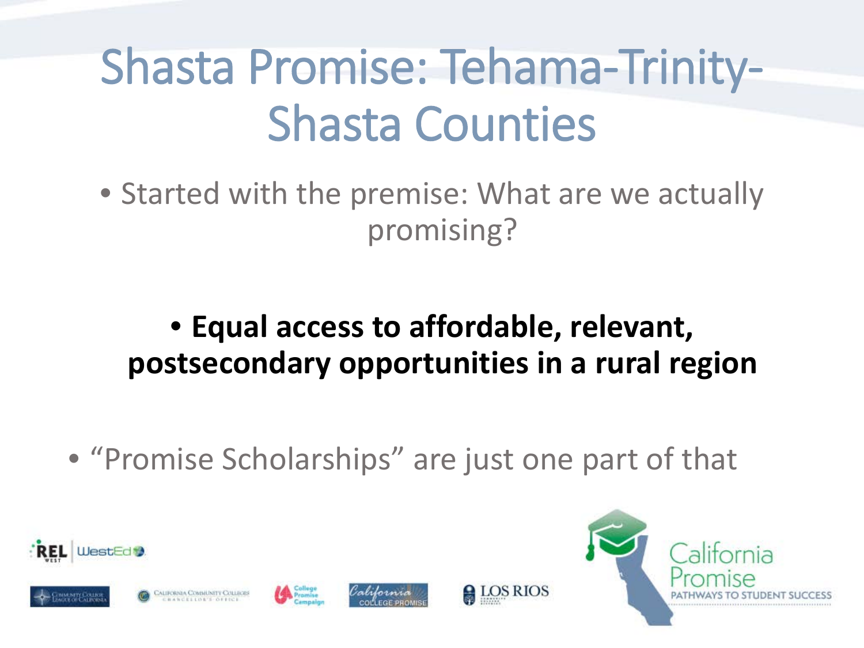# Shasta Promise: Tehama-Trinity-Shasta Counties

• Started with the premise: What are we actually promising?

#### • **Equal access to affordable, relevant, postsecondary opportunities in a rural region**

• "Promise Scholarships" are just one part of that

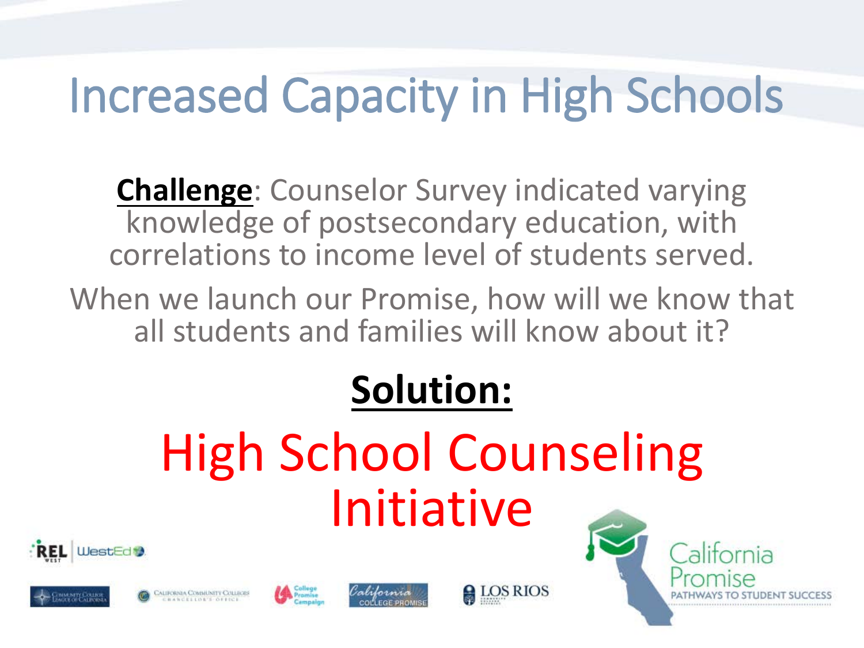# Increased Capacity in High Schools

**Challenge**: Counselor Survey indicated varying knowledge of postsecondary education, with correlations to income level of students served.

When we launch our Promise, how will we know that all students and families will know about it?

#### **Solution:**

# High School Counseling Initiative











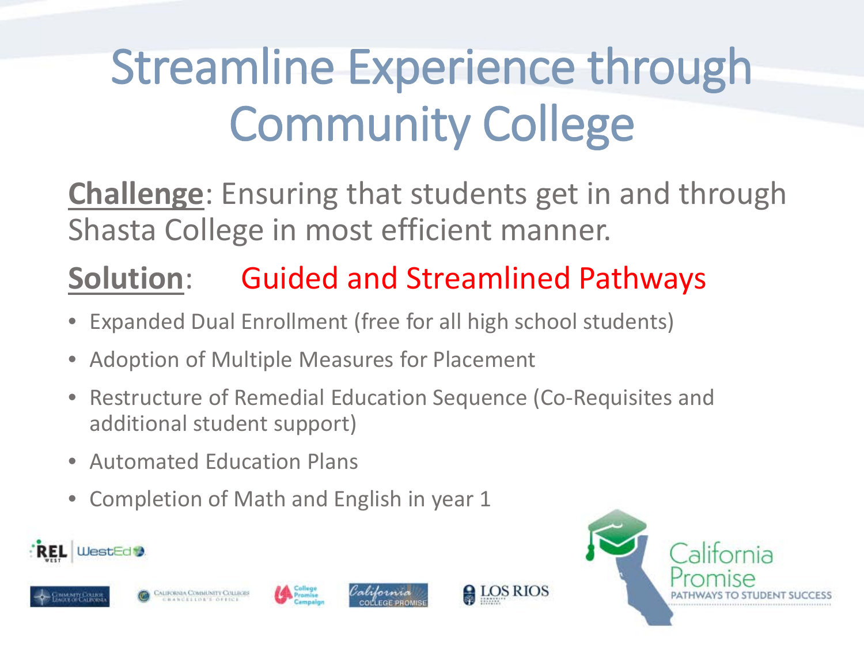# Streamline Experience through Community College

**Challenge**: Ensuring that students get in and through Shasta College in most efficient manner.

#### **Solution**: Guided and Streamlined Pathways

- Expanded Dual Enrollment (free for all high school students)
- Adoption of Multiple Measures for Placement
- Restructure of Remedial Education Sequence (Co-Requisites and additional student support)
- Automated Education Plans
- Completion of Math and English in year 1









**A**LOS RIOS

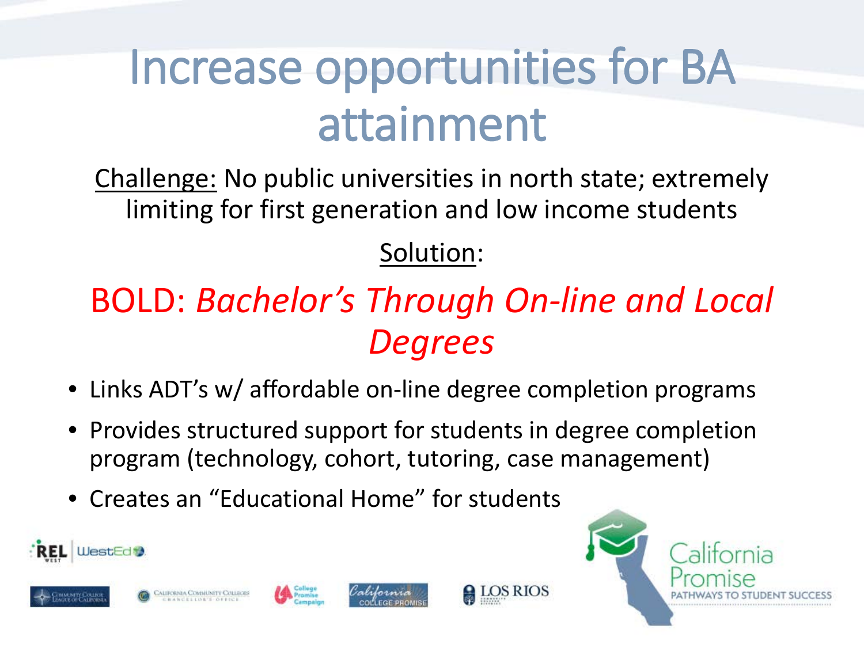### Increase opportunities for BA attainment

Challenge: No public universities in north state; extremely limiting for first generation and low income students

#### Solution:

#### BOLD: *Bachelor's Through On-line and Local Degrees*

- Links ADT's w/ affordable on-line degree completion programs
- Provides structured support for students in degree completion program (technology, cohort, tutoring, case management)
- Creates an "Educational Home" for students









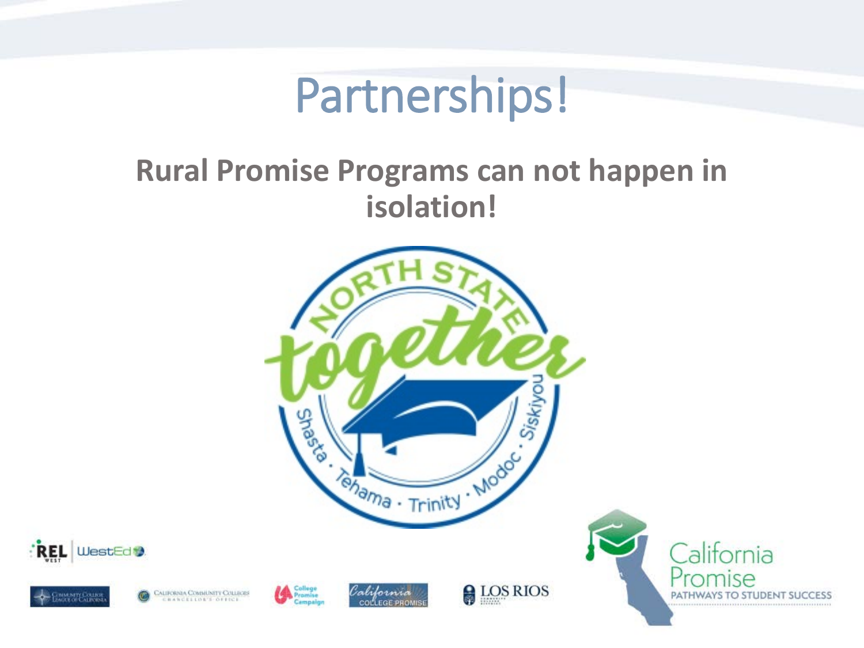#### Partnerships!

#### **Rural Promise Programs can not happen in isolation!**

**MMARTY COLLEGE**<br>AGUE OF CALIFORNI